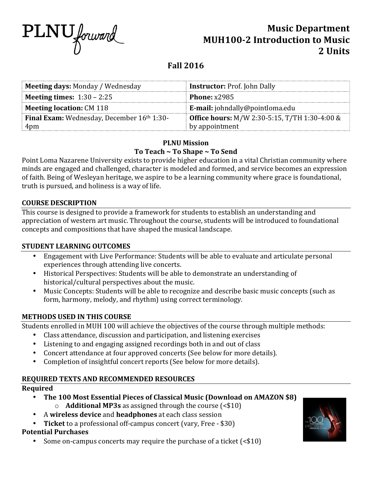

# **Music Department MUH100-2 Introduction to Music** 2. **Units**

# **Fall 2016**

| <b>Meeting days: Monday / Wednesday</b><br><b>Instructor: Prof. John Dally</b>                            |  |
|-----------------------------------------------------------------------------------------------------------|--|
| <b>Meeting times:</b> $1:30 - 2:25$<br>Phone: $x2985$                                                     |  |
| <b>Meeting location: CM 118</b><br><b>E-mail:</b> johndally@pointloma.edu                                 |  |
| <b>Office hours:</b> M/W 2:30-5:15, T/TH 1:30-4:00 &<br><b>Final Exam:</b> Wednesday, December 16th 1:30- |  |
| by appointment<br>4pm                                                                                     |  |

# **PLNU Mission** To Teach ~ To Shape ~ To Send

Point Loma Nazarene University exists to provide higher education in a vital Christian community where minds are engaged and challenged, character is modeled and formed, and service becomes an expression of faith. Being of Wesleyan heritage, we aspire to be a learning community where grace is foundational, truth is pursued, and holiness is a way of life.

# **COURSE DESCRIPTION**

This course is designed to provide a framework for students to establish an understanding and appreciation of western art music. Throughout the course, students will be introduced to foundational concepts and compositions that have shaped the musical landscape.

# **STUDENT LEARNING OUTCOMES**

- Engagement with Live Performance: Students will be able to evaluate and articulate personal experiences through attending live concerts.
- Historical Perspectives: Students will be able to demonstrate an understanding of historical/cultural perspectives about the music.
- Music Concepts: Students will be able to recognize and describe basic music concepts (such as form, harmony, melody, and rhythm) using correct terminology.

# **METHODS USED IN THIS COURSE**

Students enrolled in MUH 100 will achieve the objectives of the course through multiple methods:

- Class attendance, discussion and participation, and listening exercises
- Listening to and engaging assigned recordings both in and out of class
- Concert attendance at four approved concerts (See below for more details).
- Completion of insightful concert reports (See below for more details).

# **REQUIRED TEXTS AND RECOMMENDED RESOURCES**

# **Required**

- The 100 Most Essential Pieces of Classical Music (Download on AMAZON \$8)
	- $\circ$  **Additional MP3s** as assigned through the course (<\$10)
- A wireless device and headphones at each class session
- Ticket to a professional off-campus concert (vary, Free \$30)

# **Potential Purchases**

Some on-campus concerts may require the purchase of a ticket  $\left( \text{&} 10 \right)$ 

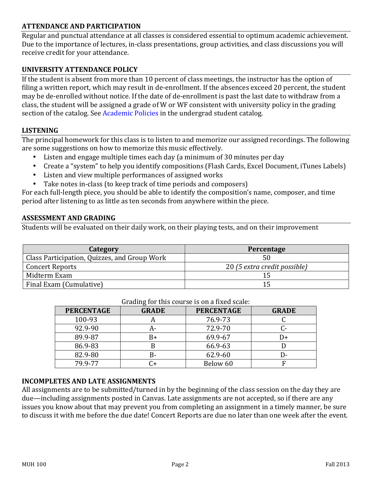# **ATTENDANCE AND PARTICIPATION**

Regular and punctual attendance at all classes is considered essential to optimum academic achievement. Due to the importance of lectures, in-class presentations, group activities, and class discussions you will receive credit for your attendance.

### **UNIVERSITY ATTENDANCE POLICY**

If the student is absent from more than  $10$  percent of class meetings, the instructor has the option of filing a written report, which may result in de-enrollment. If the absences exceed 20 percent, the student may be de-enrolled without notice. If the date of de-enrollment is past the last date to withdraw from a class, the student will be assigned a grade of W or WF consistent with university policy in the grading section of the catalog. See Academic Policies in the undergrad student catalog.

### **LISTENING**

The principal homework for this class is to listen to and memorize our assigned recordings. The following are some suggestions on how to memorize this music effectively.

- Listen and engage multiple times each day (a minimum of 30 minutes per day
- Create a "system" to help you identify compositions (Flash Cards, Excel Document, iTunes Labels)
- Listen and view multiple performances of assigned works
- Take notes in-class (to keep track of time periods and composers)

For each full-length piece, you should be able to identify the composition's name, composer, and time period after listening to as little as ten seconds from anywhere within the piece.

#### **ASSESSMENT AND GRADING**

Students will be evaluated on their daily work, on their playing tests, and on their improvement

| Category                                     | Percentage                   |
|----------------------------------------------|------------------------------|
| Class Participation, Quizzes, and Group Work |                              |
| <b>Concert Reports</b>                       | 20 (5 extra credit possible) |
| Midterm Exam                                 |                              |
| Final Exam (Cumulative)                      | 15                           |

|                   |              | araanig for this course is on a mea searc. |              |
|-------------------|--------------|--------------------------------------------|--------------|
| <b>PERCENTAGE</b> | <b>GRADE</b> | <b>PERCENTAGE</b>                          | <b>GRADE</b> |
| 100-93            |              | 76.9-73                                    |              |
| 92.9-90           | д-           | 72.9-70                                    |              |
| 89.9-87           | B+           | 69.9-67                                    | I)+          |
| 86.9-83           |              | 66.9-63                                    |              |
| 82.9-80           | B-           | 62.9-60                                    | ∣)-          |
| 79.9-77           | 74           | Below 60                                   | F            |

#### Grading for this course is on a fixed scale:

### **INCOMPLETES AND LATE ASSIGNMENTS**

All assignments are to be submitted/turned in by the beginning of the class session on the day they are due—including assignments posted in Canvas. Late assignments are not accepted, so if there are any issues you know about that may prevent you from completing an assignment in a timely manner, be sure to discuss it with me before the due date! Concert Reports are due no later than one week after the event.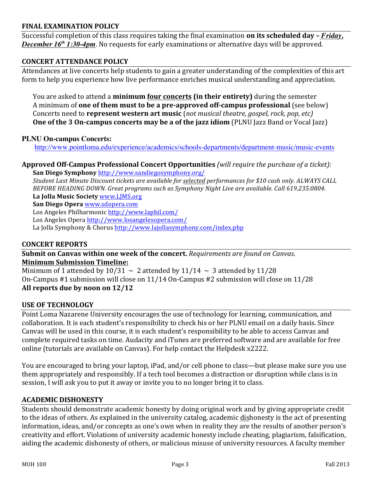# **FINAL EXAMINATION POLICY**

Successful completion of this class requires taking the final examination **on its scheduled day** - *Friday*, *December 16<sup>th</sup> 1:30-4pm*. No requests for early examinations or alternative days will be approved.

# **CONCERT ATTENDANCE POLICY**

Attendances at live concerts help students to gain a greater understanding of the complexities of this art form to help you experience how live performance enriches musical understanding and appreciation.

You are asked to attend a **minimum four concerts (in their entirety)** during the semester A minimum of **one of them must to be a pre-approved off-campus professional** (see below) Concerts need to **represent western art music** (*not musical theatre, gospel, rock, pop, etc*) **One** of the 3 On-campus concerts may be a of the jazz idiom (PLNU Jazz Band or Vocal Jazz)

### **PLNU On-campus Concerts:**

http://www.pointloma.edu/experience/academics/schools-departments/department-music/music-events

**Approved Off-Campus Professional Concert Opportunities** *(will require the purchase of a ticket):* **San Diego Symphony** http://www.sandiegosymphony.org/ 

*Student Last Minute Discount tickets are available for selected performances for \$10 cash only. ALWAYS CALL BEFORE HEADING DOWN. Great programs such as Symphony Night Live are available. Call 619.235.0804.* La Jolla Music Society www.LJMS.org **San Diego Opera** www.sdopera.com

Los Angeles Philharmonic http://www.laphil.com/

Los Angeles Opera http://www.losangelesopera.com/

La Jolla Symphony & Chorus http://www.lajollasymphony.com/index.php

### **CONCERT REPORTS**

**Submit on Canvas within one week of the concert.** Requirements are found on Canvas. **Minimum Submission Timeline:** 

Minimum of 1 attended by  $10/31 \sim 2$  attended by  $11/14 \sim 3$  attended by  $11/28$ On-Campus  $#1$  submission will close on  $11/14$  On-Campus  $#2$  submission will close on  $11/28$ All reports due by noon on 12/12

# **USE OF TECHNOLOGY**

Point Loma Nazarene University encourages the use of technology for learning, communication, and collaboration. It is each student's responsibility to check his or her PLNU email on a daily basis. Since Canvas will be used in this course, it is each student's responsibility to be able to access Canvas and complete required tasks on time. Audacity and iTunes are preferred software and are available for free online (tutorials are available on Canvas). For help contact the Helpdesk x2222.

You are encouraged to bring your laptop, iPad, and/or cell phone to class—but please make sure you use them appropriately and responsibly. If a tech tool becomes a distraction or disruption while class is in session, I will ask you to put it away or invite you to no longer bring it to class.

# **ACADEMIC DISHONESTY**

Students should demonstrate academic honesty by doing original work and by giving appropriate credit to the ideas of others. As explained in the university catalog, academic dishonesty is the act of presenting information, ideas, and/or concepts as one's own when in reality they are the results of another person's creativity and effort. Violations of university academic honesty include cheating, plagiarism, falsification, aiding the academic dishonesty of others, or malicious misuse of university resources. A faculty member